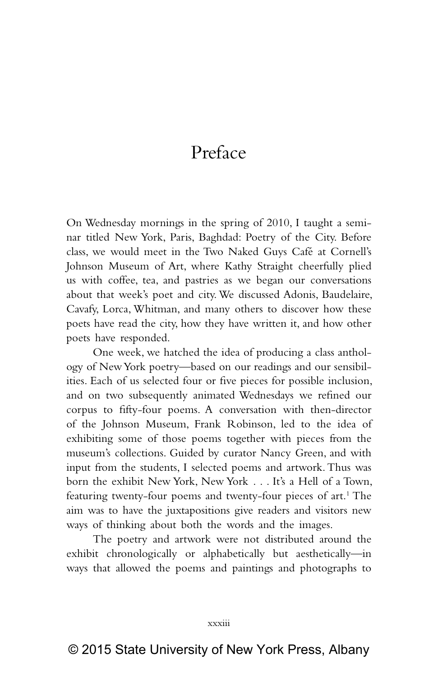## Preface

On Wednesday mornings in the spring of 2010, I taught a seminar titled New York, Paris, Baghdad: Poetry of the City. Before class, we would meet in the Two Naked Guys Café at Cornell's Johnson Museum of Art, where Kathy Straight cheerfully plied us with coffee, tea, and pastries as we began our conversations about that week's poet and city. We discussed Adonis, Baudelaire, Cavafy, Lorca, Whitman, and many others to discover how these poets have read the city, how they have written it, and how other poets have responded.

One week, we hatched the idea of producing a class anthology of New York poetry—based on our readings and our sensibilities. Each of us selected four or five pieces for possible inclusion, and on two subsequently animated Wednesdays we refined our corpus to fifty-four poems. A conversation with then-director of the Johnson Museum, Frank Robinson, led to the idea of exhibiting some of those poems together with pieces from the museum's collections. Guided by curator Nancy Green, and with input from the students, I selected poems and artwork. Thus was born the exhibit New York, New York . . . It's a Hell of a Town, featuring twenty-four poems and twenty-four pieces of art.<sup>1</sup> The aim was to have the juxtapositions give readers and visitors new ways of thinking about both the words and the images.

The poetry and artwork were not distributed around the exhibit chronologically or alphabetically but aesthetically—in ways that allowed the poems and paintings and photographs to

xxxiii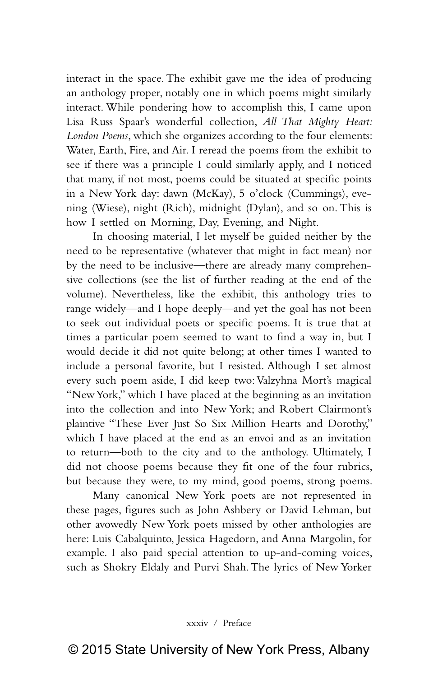interact in the space. The exhibit gave me the idea of producing an anthology proper, notably one in which poems might similarly interact. While pondering how to accomplish this, I came upon Lisa Russ Spaar's wonderful collection, *All That Mighty Heart: London Poems*, which she organizes according to the four elements: Water, Earth, Fire, and Air. I reread the poems from the exhibit to see if there was a principle I could similarly apply, and I noticed that many, if not most, poems could be situated at specific points in a New York day: dawn (McKay), 5 o'clock (Cummings), evening (Wiese), night (Rich), midnight (Dylan), and so on. This is how I settled on Morning, Day, Evening, and Night.

In choosing material, I let myself be guided neither by the need to be representative (whatever that might in fact mean) nor by the need to be inclusive—there are already many comprehensive collections (see the list of further reading at the end of the volume). Nevertheless, like the exhibit, this anthology tries to range widely—and I hope deeply—and yet the goal has not been to seek out individual poets or specific poems. It is true that at times a particular poem seemed to want to find a way in, but I would decide it did not quite belong; at other times I wanted to include a personal favorite, but I resisted. Although I set almost every such poem aside, I did keep two: Valzyhna Mort's magical "New York," which I have placed at the beginning as an invitation into the collection and into New York; and Robert Clairmont's plaintive "These Ever Just So Six Million Hearts and Dorothy," which I have placed at the end as an envoi and as an invitation to return—both to the city and to the anthology. Ultimately, I did not choose poems because they fit one of the four rubrics, but because they were, to my mind, good poems, strong poems.

Many canonical New York poets are not represented in these pages, figures such as John Ashbery or David Lehman, but other avowedly New York poets missed by other anthologies are here: Luis Cabalquinto, Jessica Hagedorn, and Anna Margolin, for example. I also paid special attention to up-and-coming voices, such as Shokry Eldaly and Purvi Shah. The lyrics of New Yorker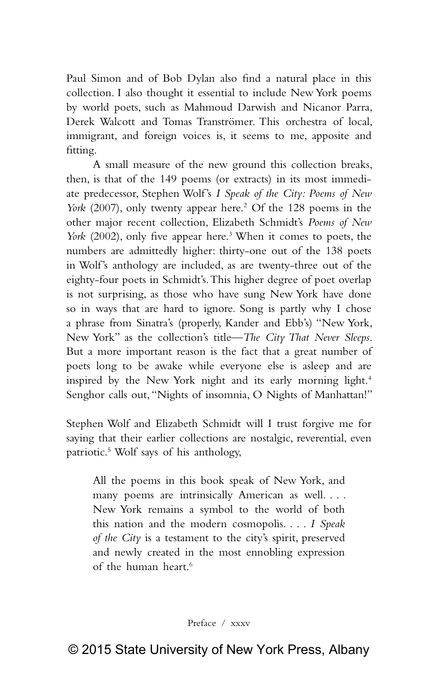Paul Simon and of Bob Dylan also find a natural place in this collection. I also thought it essential to include New York poems by world poets, such as Mahmoud Darwish and Nicanor Parra, Derek Walcott and Tomas Tranströmer. This orchestra of local, immigrant, and foreign voices is, it seems to me, apposite and fitting.

A small measure of the new ground this collection breaks, then, is that of the 149 poems (or extracts) in its most immediate predecessor, Stephen Wolf's *I Speak of the City: Poems of New*  York (2007), only twenty appear here.<sup>2</sup> Of the 128 poems in the other major recent collection, Elizabeth Schmidt's *Poems of New*  York (2002), only five appear here.<sup>3</sup> When it comes to poets, the numbers are admittedly higher: thirty-one out of the 138 poets in Wolf's anthology are included, as are twenty-three out of the eighty-four poets in Schmidt's. This higher degree of poet overlap is not surprising, as those who have sung New York have done so in ways that are hard to ignore. Song is partly why I chose a phrase from Sinatra's (properly, Kander and Ebb's) "New York, New York" as the collection's title—*The City That Never Sleeps*. But a more important reason is the fact that a great number of poets long to be awake while everyone else is asleep and are inspired by the New York night and its early morning light.<sup>4</sup> Senghor calls out, "Nights of insomnia, O Nights of Manhattan!"

Stephen Wolf and Elizabeth Schmidt will I trust forgive me for saying that their earlier collections are nostalgic, reverential, even patriotic.5 Wolf says of his anthology,

All the poems in this book speak of New York, and many poems are intrinsically American as well. . . . New York remains a symbol to the world of both this nation and the modern cosmopolis. . . . *I Speak of the City* is a testament to the city's spirit, preserved and newly created in the most ennobling expression of the human heart.<sup>6</sup>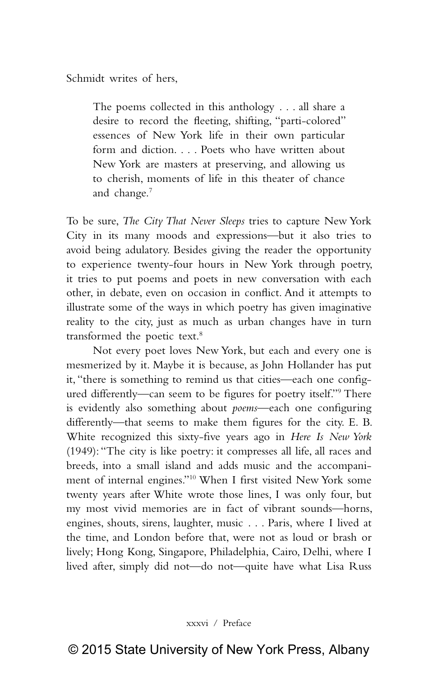Schmidt writes of hers,

The poems collected in this anthology . . . all share a desire to record the fleeting, shifting, "parti-colored" essences of New York life in their own particular form and diction. . . . Poets who have written about New York are masters at preserving, and allowing us to cherish, moments of life in this theater of chance and change.7

To be sure, *The City That Never Sleeps* tries to capture New York City in its many moods and expressions—but it also tries to avoid being adulatory. Besides giving the reader the opportunity to experience twenty-four hours in New York through poetry, it tries to put poems and poets in new conversation with each other, in debate, even on occasion in conflict. And it attempts to illustrate some of the ways in which poetry has given imaginative reality to the city, just as much as urban changes have in turn transformed the poetic text.<sup>8</sup>

Not every poet loves New York, but each and every one is mesmerized by it. Maybe it is because, as John Hollander has put it, "there is something to remind us that cities—each one configured differently—can seem to be figures for poetry itself."9 There is evidently also something about *poems*—each one configuring differently—that seems to make them figures for the city. E. B. White recognized this sixty-five years ago in *Here Is New York* (1949): "The city is like poetry: it compresses all life, all races and breeds, into a small island and adds music and the accompaniment of internal engines."10 When I first visited New York some twenty years after White wrote those lines, I was only four, but my most vivid memories are in fact of vibrant sounds—horns, engines, shouts, sirens, laughter, music . . . Paris, where I lived at the time, and London before that, were not as loud or brash or lively; Hong Kong, Singapore, Philadelphia, Cairo, Delhi, where I lived after, simply did not—do not—quite have what Lisa Russ